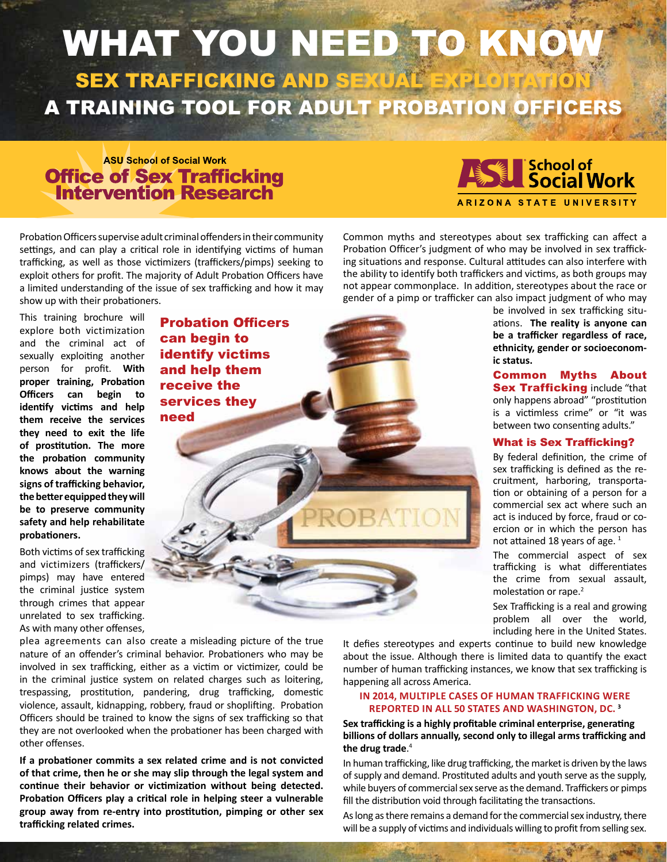# WHAT YOU NEED TO KNOW SEX TRAFFICKING AND SEXUAL EXPLOITATION A TRAINING TOOL FOR ADULT PROBATION OFFICERS

## **ASU School of Social Work Office of Sex Trafficking<br>Intervention Research**



Probation Officers supervise adult criminal offenders in their community settings, and can play a critical role in identifying victims of human trafficking, as well as those victimizers (traffickers/pimps) seeking to exploit others for profit. The majority of Adult Probation Officers have a limited understanding of the issue of sex trafficking and how it may show up with their probationers.

need

Probation Officers

can begin to identify victims and help them receive the services they

This training brochure will explore both victimization and the criminal act of sexually exploiting another person for profit. **With proper training, Probation Officers can begin to identify victims and help them receive the services they need to exit the life of prostitution. The more the probation community knows about the warning signs of trafficking behavior, the better equipped they will be to preserve community safety and help rehabilitate probationers.**

Both victims of sex trafficking and victimizers (traffickers/ pimps) may have entered the criminal justice system through crimes that appear unrelated to sex trafficking. As with many other offenses,

plea agreements can also create a misleading picture of the true nature of an offender's criminal behavior. Probationers who may be involved in sex trafficking, either as a victim or victimizer, could be in the criminal justice system on related charges such as loitering, trespassing, prostitution, pandering, drug trafficking, domestic violence, assault, kidnapping, robbery, fraud or shoplifting. Probation Officers should be trained to know the signs of sex trafficking so that they are not overlooked when the probationer has been charged with other offenses.

**If a probationer commits a sex related crime and is not convicted of that crime, then he or she may slip through the legal system and continue their behavior or victimization without being detected. Probation Officers play a critical role in helping steer a vulnerable group away from re-entry into prostitution, pimping or other sex trafficking related crimes.**

Common myths and stereotypes about sex trafficking can affect a Probation Officer's judgment of who may be involved in sex trafficking situations and response. Cultural attitudes can also interfere with the ability to identify both traffickers and victims, as both groups may not appear commonplace. In addition, stereotypes about the race or gender of a pimp or trafficker can also impact judgment of who may

be involved in sex trafficking situations. **The reality is anyone can be a trafficker regardless of race, ethnicity, gender or socioeconomic status.**

Common Myths About **Sex Trafficking include "that** only happens abroad" "prostitution is a victimless crime" or "it was between two consenting adults."

#### What is Sex Trafficking?

By federal definition, the crime of sex trafficking is defined as the recruitment, harboring, transportation or obtaining of a person for a commercial sex act where such an act is induced by force, fraud or coercion or in which the person has not attained 18 years of age.<sup>1</sup>

The commercial aspect of sex trafficking is what differentiates the crime from sexual assault, molestation or rape.<sup>2</sup>

Sex Trafficking is a real and growing problem all over the world, including here in the United States.

It defies stereotypes and experts continue to build new knowledge about the issue. Although there is limited data to quantify the exact number of human trafficking instances, we know that sex trafficking is happening all across America.

#### **IN 2014, MULTIPLE CASES OF HUMAN TRAFFICKING WERE REPORTED IN ALL 50 STATES AND WASHINGTON, DC. <sup>3</sup>**

**Sex trafficking is a highly profitable criminal enterprise, generating billions of dollars annually, second only to illegal arms trafficking and the drug trade**. 4

In human trafficking, like drug trafficking, the market is driven by the laws of supply and demand. Prostituted adults and youth serve as the supply, while buyers of commercial sex serve as the demand. Traffickers or pimps fill the distribution void through facilitating the transactions.

As long as there remains a demand for the commercial sex industry, there will be a supply of victims and individuals willing to profit from selling sex.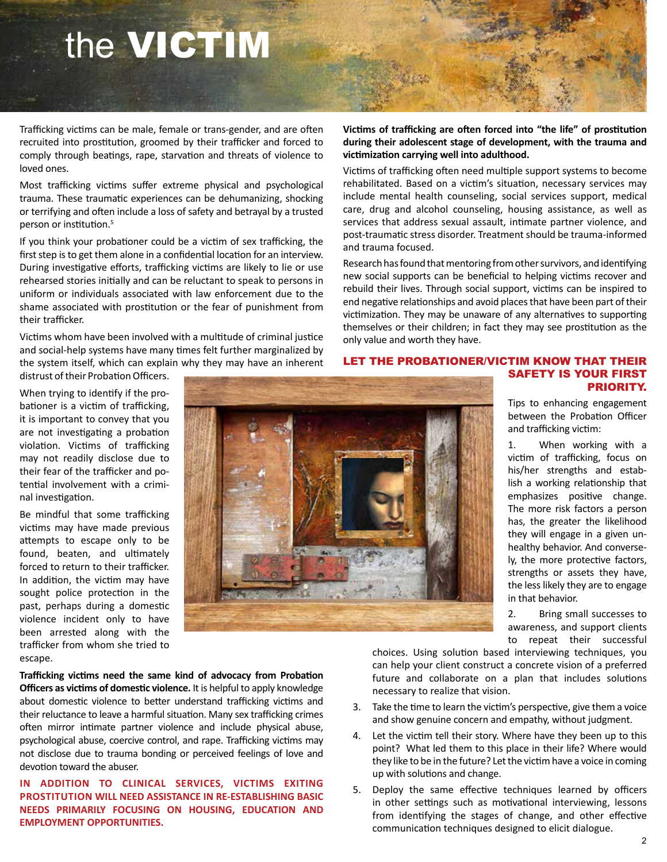# the VICTIM

Trafficking victims can be male, female or trans-gender, and are often recruited into prostitution, groomed by their trafficker and forced to comply through beatings, rape, starvation and threats of violence to loved ones.

Most trafficking victims suffer extreme physical and psychological trauma. These traumatic experiences can be dehumanizing, shocking or terrifying and often include a loss of safety and betrayal by a trusted person or institution.<sup>5</sup>

If you think your probationer could be a victim of sex trafficking, the first step is to get them alone in a confidential location for an interview. During investigative efforts, trafficking victims are likely to lie or use rehearsed stories initially and can be reluctant to speak to persons in uniform or individuals associated with law enforcement due to the shame associated with prostitution or the fear of punishment from their trafficker.

Victims whom have been involved with a multitude of criminal justice and social-help systems have many times felt further marginalized by the system itself, which can explain why they may have an inherent

distrust of their Probation Officers.

When trying to identify if the probationer is a victim of trafficking, it is important to convey that you are not investigating a probation violation. Victims of trafficking may not readily disclose due to their fear of the trafficker and potential involvement with a criminal investigation.

Be mindful that some trafficking victims may have made previous attempts to escape only to be found, beaten, and ultimately forced to return to their trafficker. In addition, the victim may have sought police protection in the past, perhaps during a domestic violence incident only to have been arrested along with the trafficker from whom she tried to escape.



**Trafficking victims need the same kind of advocacy from Probation Officers as victims of domestic violence.** It is helpful to apply knowledge about domestic violence to better understand trafficking victims and their reluctance to leave a harmful situation. Many sex trafficking crimes often mirror intimate partner violence and include physical abuse, psychological abuse, coercive control, and rape. Trafficking victims may not disclose due to trauma bonding or perceived feelings of love and devotion toward the abuser.

**IN ADDITION TO CLINICAL SERVICES, VICTIMS EXITING PROSTITUTION WILL NEED ASSISTANCE IN RE-ESTABLISHING BASIC NEEDS PRIMARILY FOCUSING ON HOUSING, EDUCATION AND EMPLOYMENT OPPORTUNITIES.**

**Victims of trafficking are often forced into "the life" of prostitution during their adolescent stage of development, with the trauma and victimization carrying well into adulthood.** 

Victims of trafficking often need multiple support systems to become rehabilitated. Based on a victim's situation, necessary services may include mental health counseling, social services support, medical care, drug and alcohol counseling, housing assistance, as well as services that address sexual assault, intimate partner violence, and post-traumatic stress disorder. Treatment should be trauma-informed and trauma focused.

Research has found that mentoring from other survivors, and identifying new social supports can be beneficial to helping victims recover and rebuild their lives. Through social support, victims can be inspired to end negative relationships and avoid places that have been part of their victimization. They may be unaware of any alternatives to supporting themselves or their children; in fact they may see prostitution as the only value and worth they have.

#### LET THE PROBATIONER/VICTIM KNOW THAT THEIR SAFETY IS YOUR FIRST PRIORITY.

Tips to enhancing engagement between the Probation Officer and trafficking victim:

1. When working with a victim of trafficking, focus on his/her strengths and establish a working relationship that emphasizes positive change. The more risk factors a person has, the greater the likelihood they will engage in a given unhealthy behavior. And conversely, the more protective factors, strengths or assets they have, the less likely they are to engage in that behavior.

2. Bring small successes to awareness, and support clients to repeat their successful

choices. Using solution based interviewing techniques, you can help your client construct a concrete vision of a preferred future and collaborate on a plan that includes solutions necessary to realize that vision.

- 3. Take the time to learn the victim's perspective, give them a voice and show genuine concern and empathy, without judgment.
- 4. Let the victim tell their story. Where have they been up to this point? What led them to this place in their life? Where would they like to be in the future? Let the victim have a voice in coming up with solutions and change.
- 5. Deploy the same effective techniques learned by officers in other settings such as motivational interviewing, lessons from identifying the stages of change, and other effective communication techniques designed to elicit dialogue.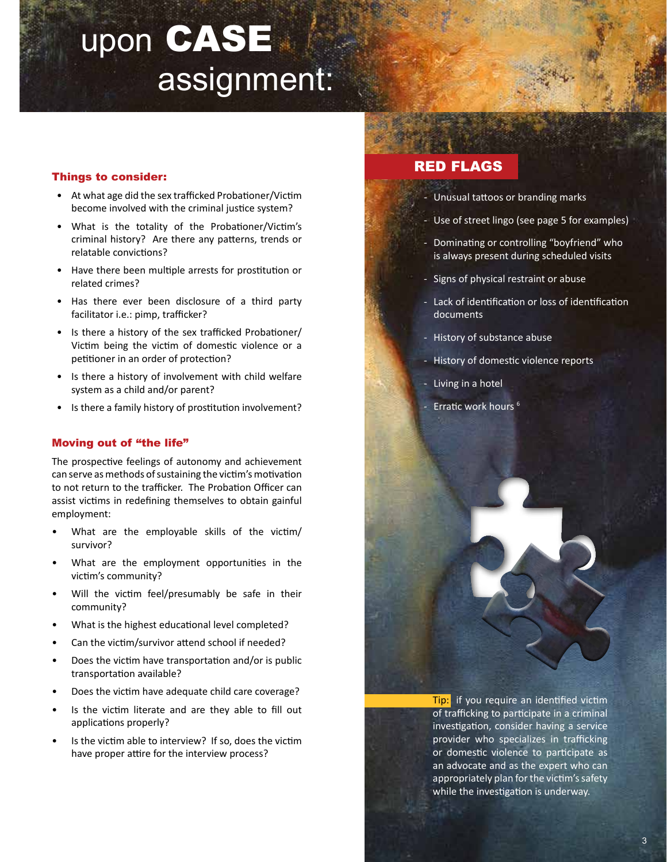# upon CASE assignment:

#### Things to consider:

- At what age did the sex trafficked Probationer/Victim become involved with the criminal justice system?
- What is the totality of the Probationer/Victim's criminal history? Are there any patterns, trends or relatable convictions?
- Have there been multiple arrests for prostitution or related crimes?
- Has there ever been disclosure of a third party facilitator i.e.: pimp, trafficker?
- Is there a history of the sex trafficked Probationer/ Victim being the victim of domestic violence or a petitioner in an order of protection?
- Is there a history of involvement with child welfare system as a child and/or parent?
- Is there a family history of prostitution involvement?

#### Moving out of "the life"

The prospective feelings of autonomy and achievement can serve as methods of sustaining the victim's motivation to not return to the trafficker. The Probation Officer can assist victims in redefining themselves to obtain gainful employment:

- What are the employable skills of the victim/ survivor?
- What are the employment opportunities in the victim's community?
- Will the victim feel/presumably be safe in their community?
- What is the highest educational level completed?
- Can the victim/survivor attend school if needed?
- Does the victim have transportation and/or is public transportation available?
- Does the victim have adequate child care coverage?
- Is the victim literate and are they able to fill out applications properly?
- Is the victim able to interview? If so, does the victim have proper attire for the interview process?

### RED FLAGS

- Unusual tattoos or branding marks
- Use of street lingo (see page 5 for examples)
- Dominating or controlling "boyfriend" who is always present during scheduled visits
- Signs of physical restraint or abuse
- Lack of identification or loss of identification documents
- History of substance abuse
- History of domestic violence reports
- Living in a hotel
- Erratic work hours<sup>6</sup>

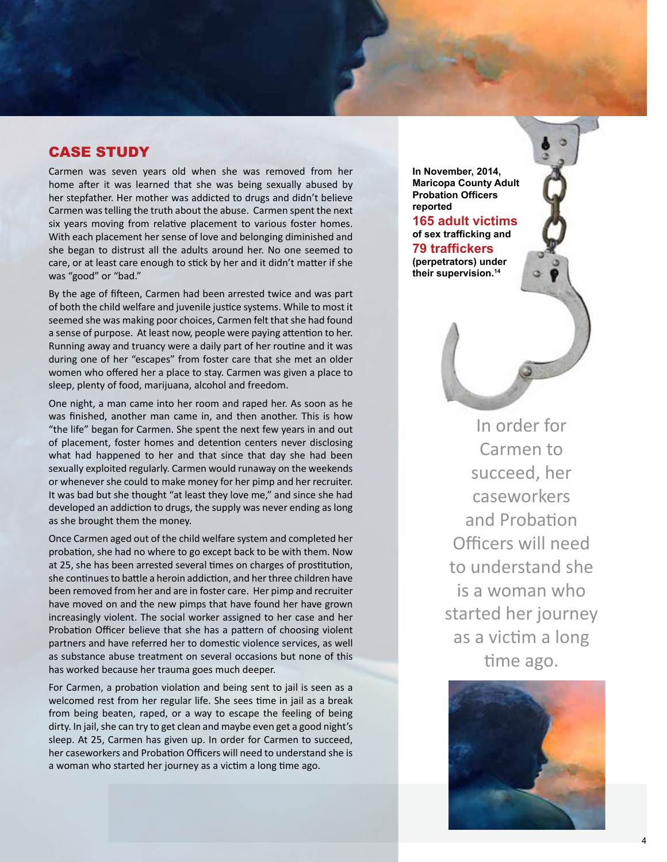### CASE STUDY

Carmen was seven years old when she was removed from her home after it was learned that she was being sexually abused by her stepfather. Her mother was addicted to drugs and didn't believe Carmen was telling the truth about the abuse. Carmen spent the next six years moving from relative placement to various foster homes. With each placement her sense of love and belonging diminished and she began to distrust all the adults around her. No one seemed to care, or at least care enough to stick by her and it didn't matter if she was "good" or "bad."

By the age of fifteen, Carmen had been arrested twice and was part of both the child welfare and juvenile justice systems. While to most it seemed she was making poor choices, Carmen felt that she had found a sense of purpose. At least now, people were paying attention to her. Running away and truancy were a daily part of her routine and it was during one of her "escapes" from foster care that she met an older women who offered her a place to stay. Carmen was given a place to sleep, plenty of food, marijuana, alcohol and freedom.

One night, a man came into her room and raped her. As soon as he was finished, another man came in, and then another. This is how "the life" began for Carmen. She spent the next few years in and out of placement, foster homes and detention centers never disclosing what had happened to her and that since that day she had been sexually exploited regularly. Carmen would runaway on the weekends or whenever she could to make money for her pimp and her recruiter. It was bad but she thought "at least they love me," and since she had developed an addiction to drugs, the supply was never ending as long as she brought them the money.

Once Carmen aged out of the child welfare system and completed her probation, she had no where to go except back to be with them. Now at 25, she has been arrested several times on charges of prostitution, she continues to battle a heroin addiction, and her three children have been removed from her and are in foster care. Her pimp and recruiter have moved on and the new pimps that have found her have grown increasingly violent. The social worker assigned to her case and her Probation Officer believe that she has a pattern of choosing violent partners and have referred her to domestic violence services, as well as substance abuse treatment on several occasions but none of this has worked because her trauma goes much deeper.

For Carmen, a probation violation and being sent to jail is seen as a welcomed rest from her regular life. She sees time in jail as a break from being beaten, raped, or a way to escape the feeling of being dirty. In jail, she can try to get clean and maybe even get a good night's sleep. At 25, Carmen has given up. In order for Carmen to succeed, her caseworkers and Probation Officers will need to understand she is a woman who started her journey as a victim a long time ago.

**In November, 2014, Maricopa County Adult Probation Officers reported** 

**165 adult victims of sex trafficking and 79 traffickers (perpetrators) under their supervision.<sup>14</sup>**

> In order for Carmen to succeed, her caseworkers and Probation Officers will need to understand she is a woman who started her journey as a victim a long time ago.

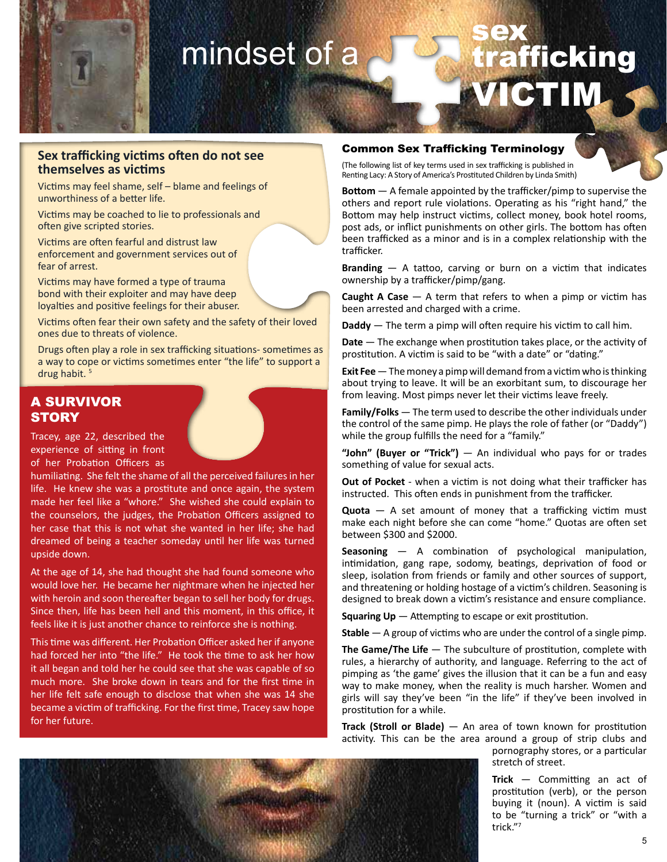

## mindset of a sex trafficking VICTIM

#### **Sex trafficking victims often do not see themselves as victims**

Victims may feel shame, self – blame and feelings of unworthiness of a better life.

Victims may be coached to lie to professionals and often give scripted stories.

Victims are often fearful and distrust law enforcement and government services out of fear of arrest.

Victims may have formed a type of trauma bond with their exploiter and may have deep loyalties and positive feelings for their abuser.

Victims often fear their own safety and the safety of their loved ones due to threats of violence.

Drugs often play a role in sex trafficking situations- sometimes as a way to cope or victims sometimes enter "the life" to support a drug habit. <sup>5</sup>

### A SURVIVOR **STORY**

Tracey, age 22, described the experience of sitting in front of her Probation Officers as

humiliating. She felt the shame of all the perceived failures in her life. He knew she was a prostitute and once again, the system made her feel like a "whore." She wished she could explain to the counselors, the judges, the Probation Officers assigned to her case that this is not what she wanted in her life; she had dreamed of being a teacher someday until her life was turned upside down.

At the age of 14, she had thought she had found someone who would love her. He became her nightmare when he injected her with heroin and soon thereafter began to sell her body for drugs. Since then, life has been hell and this moment, in this office, it feels like it is just another chance to reinforce she is nothing.

This time was different. Her Probation Officer asked her if anyone had forced her into "the life." He took the time to ask her how it all began and told her he could see that she was capable of so much more. She broke down in tears and for the first time in her life felt safe enough to disclose that when she was 14 she became a victim of trafficking. For the first time, Tracey saw hope for her future.

#### Common Sex Trafficking Terminology

(The following list of key terms used in sex trafficking is published in Renting Lacy: A Story of America's Prostituted Children by Linda Smith)

**Bottom** — A female appointed by the trafficker/pimp to supervise the others and report rule violations. Operating as his "right hand," the Bottom may help instruct victims, collect money, book hotel rooms, post ads, or inflict punishments on other girls. The bottom has often been trafficked as a minor and is in a complex relationship with the trafficker.

**Branding** — A tattoo, carving or burn on a victim that indicates ownership by a trafficker/pimp/gang.

**Caught A Case** — A term that refers to when a pimp or victim has been arrested and charged with a crime.

**Daddy** — The term a pimp will often require his victim to call him.

**Date** — The exchange when prostitution takes place, or the activity of prostitution. A victim is said to be "with a date" or "dating."

**Exit Fee**—The money a pimp will demand from a victim who is thinking about trying to leave. It will be an exorbitant sum, to discourage her from leaving. Most pimps never let their victims leave freely.

**Family/Folks** — The term used to describe the other individuals under the control of the same pimp. He plays the role of father (or "Daddy") while the group fulfills the need for a "family."

**"John" (Buyer or "Trick")** — An individual who pays for or trades something of value for sexual acts.

**Out of Pocket** - when a victim is not doing what their trafficker has instructed. This often ends in punishment from the trafficker.

**Quota** — A set amount of money that a trafficking victim must make each night before she can come "home." Quotas are often set between \$300 and \$2000.

**Seasoning** — A combination of psychological manipulation, intimidation, gang rape, sodomy, beatings, deprivation of food or sleep, isolation from friends or family and other sources of support, and threatening or holding hostage of a victim's children. Seasoning is designed to break down a victim's resistance and ensure compliance.

**Squaring Up** — Attempting to escape or exit prostitution.

**Stable** — A group of victims who are under the control of a single pimp.

The Game/The Life – The subculture of prostitution, complete with rules, a hierarchy of authority, and language. Referring to the act of pimping as 'the game' gives the illusion that it can be a fun and easy way to make money, when the reality is much harsher. Women and girls will say they've been "in the life" if they've been involved in prostitution for a while.

**Track (Stroll or Blade)** — An area of town known for prostitution activity. This can be the area around a group of strip clubs and



pornography stores, or a particular stretch of street.

**Trick** — Committing an act of prostitution (verb), or the person buying it (noun). A victim is said to be "turning a trick" or "with a trick."<sup>7</sup>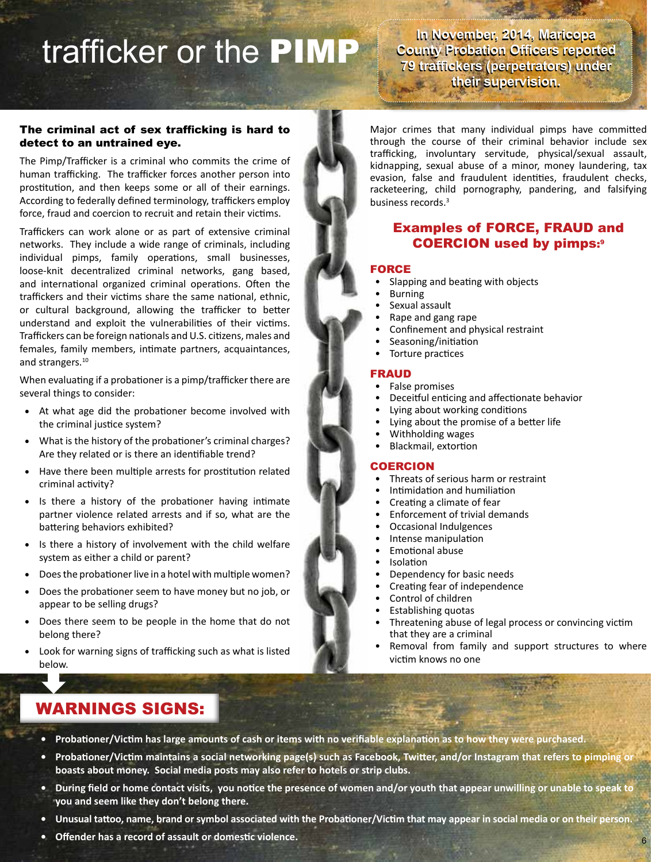# trafficker or the PIMP

**In November, 2014, Maricopa In November, 2014, Maricopa County Probation Officers reported County Probation Officers reported 79 traffickers (perpetrators) under 79 traffickers (perpetrators) under their supervision. their supervision.** 

#### The criminal act of sex trafficking is hard to detect to an untrained eye.

The Pimp/Trafficker is a criminal who commits the crime of human trafficking. The trafficker forces another person into prostitution, and then keeps some or all of their earnings. According to federally defined terminology, traffickers employ force, fraud and coercion to recruit and retain their victims.

Traffickers can work alone or as part of extensive criminal networks. They include a wide range of criminals, including individual pimps, family operations, small businesses, loose-knit decentralized criminal networks, gang based, and international organized criminal operations. Often the traffickers and their victims share the same national, ethnic, or cultural background, allowing the trafficker to better understand and exploit the vulnerabilities of their victims. Traffickers can be foreign nationals and U.S. citizens, males and females, family members, intimate partners, acquaintances, and strangers.<sup>10</sup>

When evaluating if a probationer is a pimp/trafficker there are several things to consider:

- At what age did the probationer become involved with the criminal justice system?
- What is the history of the probationer's criminal charges? Are they related or is there an identifiable trend?
- Have there been multiple arrests for prostitution related criminal activity?
- Is there a history of the probationer having intimate partner violence related arrests and if so, what are the battering behaviors exhibited?
- Is there a history of involvement with the child welfare system as either a child or parent?
- Does the probationer live in a hotel with multiple women?
- Does the probationer seem to have money but no job, or appear to be selling drugs?
- Does there seem to be people in the home that do not belong there?
- Look for warning signs of trafficking such as what is listed below.

Major crimes that many individual pimps have committed through the course of their criminal behavior include sex trafficking, involuntary servitude, physical/sexual assault, kidnapping, sexual abuse of a minor, money laundering, tax evasion, false and fraudulent identities, fraudulent checks, racketeering, child pornography, pandering, and falsifying business records.<sup>3</sup>

### Examples of FORCE, FRAUD and COERCION used by pimps:9

#### FORCE

- Slapping and beating with objects
- **Burning**
- Sexual assault
- Rape and gang rape
- Confinement and physical restraint
- Seasoning/initiation
- Torture practices

#### FRAUD

- False promises
- Deceitful enticing and affectionate behavior
- Lying about working conditions
- Lying about the promise of a better life
- Withholding wages
- Blackmail, extortion

#### **COERCION**

- Threats of serious harm or restraint
- Intimidation and humiliation
- Creating a climate of fear
- Enforcement of trivial demands
- Occasional Indulgences
- Intense manipulation
- Emotional abuse
- Isolation
- Dependency for basic needs
- Creating fear of independence
- Control of children
- Establishing quotas
- Threatening abuse of legal process or convincing victim that they are a criminal
- Removal from family and support structures to where victim knows no one

6

### WARNINGS SIGNS:

- **• Probationer/Victim has large amounts of cash or items with no verifiable explanation as to how they were purchased.**
- **• Probationer/Victim maintains a social networking page(s) such as Facebook, Twitter, and/or Instagram that refers to pimping or boasts about money. Social media posts may also refer to hotels or strip clubs.**
- **• During field or home contact visits, you notice the presence of women and/or youth that appear unwilling or unable to speak to you and seem like they don't belong there.**
- **• Unusual tattoo, name, brand or symbol associated with the Probationer/Victim that may appear in social media or on their person.**
- **• Offender has a record of assault or domestic violence.**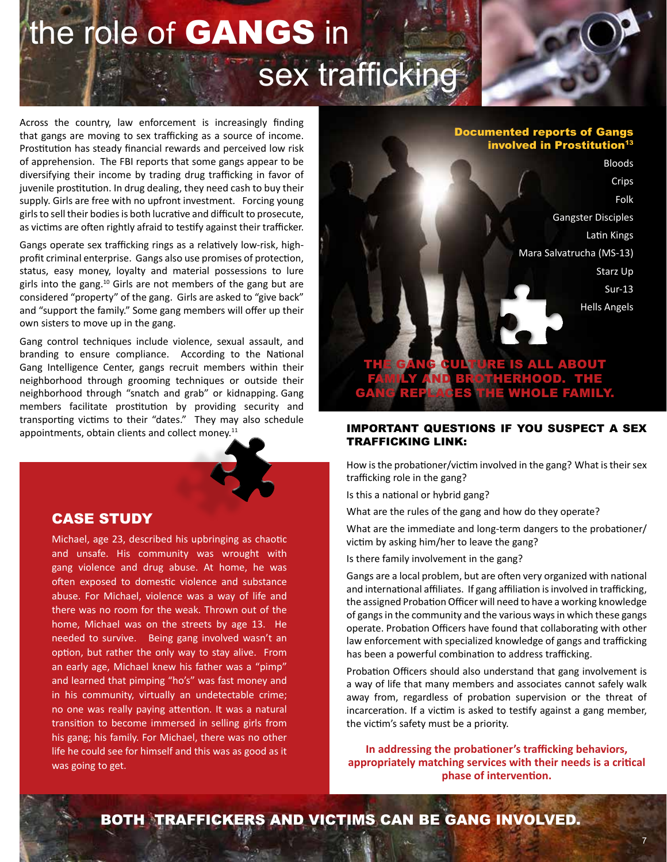## the role of **GANGS** in sex trafficking  $\sqrt{2}$

Across the country, law enforcement is increasingly finding that gangs are moving to sex trafficking as a source of income. Prostitution has steady financial rewards and perceived low risk of apprehension. The FBI reports that some gangs appear to be diversifying their income by trading drug trafficking in favor of juvenile prostitution. In drug dealing, they need cash to buy their supply. Girls are free with no upfront investment. Forcing young girls to sell their bodies is both lucrative and difficult to prosecute, as victims are often rightly afraid to testify against their trafficker.

Gangs operate sex trafficking rings as a relatively low-risk, highprofit criminal enterprise. Gangs also use promises of protection, status, easy money, loyalty and material possessions to lure girls into the gang.<sup>10</sup> Girls are not members of the gang but are considered "property" of the gang. Girls are asked to "give back" and "support the family." Some gang members will offer up their own sisters to move up in the gang.

Gang control techniques include violence, sexual assault, and branding to ensure compliance. According to the National Gang Intelligence Center, gangs recruit members within their neighborhood through grooming techniques or outside their neighborhood through "snatch and grab" or kidnapping. Gang members facilitate prostitution by providing security and transporting victims to their "dates." They may also schedule appointments, obtain clients and collect money.<sup>11</sup>

### CASE STUDY

Michael, age 23, described his upbringing as chaotic and unsafe. His community was wrought with gang violence and drug abuse. At home, he was often exposed to domestic violence and substance abuse. For Michael, violence was a way of life and there was no room for the weak. Thrown out of the home, Michael was on the streets by age 13. He needed to survive. Being gang involved wasn't an option, but rather the only way to stay alive. From an early age, Michael knew his father was a "pimp" and learned that pimping "ho's" was fast money and in his community, virtually an undetectable crime; no one was really paying attention. It was a natural transition to become immersed in selling girls from his gang; his family. For Michael, there was no other life he could see for himself and this was as good as it was going to get.

#### Documented reports of Gangs involved in Prostitution<sup>13</sup>

Bloods Crips Folk Gangster Disciples Latin Kings Mara Salvatrucha (MS-13) Starz Up Sur-13 Hells Angels

ALL ABOUT

# GANG REPLACES THE WHOLE FAMILY.

FAMILY AND BROTHERHOOD. THE

#### IMPORTANT QUESTIONS IF YOU SUSPECT A SEX TRAFFICKING LINK:

How is the probationer/victim involved in the gang? What is their sex trafficking role in the gang?

Is this a national or hybrid gang?

What are the rules of the gang and how do they operate?

What are the immediate and long-term dangers to the probationer/ victim by asking him/her to leave the gang?

Is there family involvement in the gang?

Gangs are a local problem, but are often very organized with national and international affiliates. If gang affiliation is involved in trafficking, the assigned Probation Officer will need to have a working knowledge of gangs in the community and the various ways in which these gangs operate. Probation Officers have found that collaborating with other law enforcement with specialized knowledge of gangs and trafficking has been a powerful combination to address trafficking.

Probation Officers should also understand that gang involvement is a way of life that many members and associates cannot safely walk away from, regardless of probation supervision or the threat of incarceration. If a victim is asked to testify against a gang member, the victim's safety must be a priority.

**In addressing the probationer's trafficking behaviors, appropriately matching services with their needs is a critical phase of intervention.** 

BOTH TRAFFICKERS AND VICTIMS CAN BE GANG INVOLVED.

#### 7